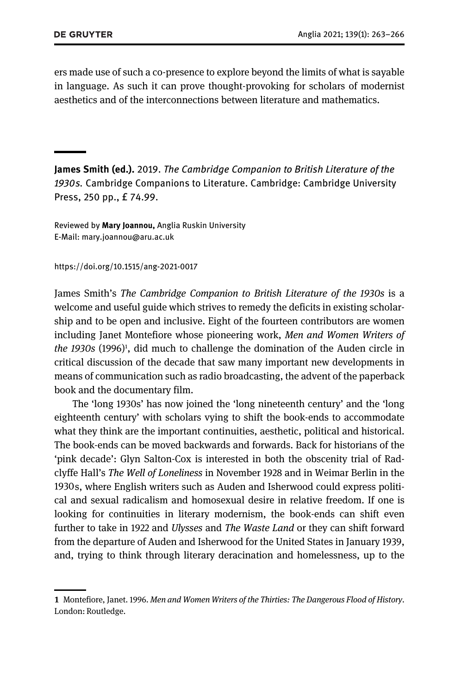ers made use of such a co-presence to explore beyond the limits of what is sayable in language. As such it can prove thought-provoking for scholars of modernist aesthetics and of the interconnections between literature and mathematics.

James Smith (ed.). 2019. The Cambridge Companion to British Literature of the 1930s. Cambridge Companions to Literature. Cambridge: Cambridge University Press, 250 pp., £ 74.99.

Reviewed by Mary Joannou, Anglia Ruskin University E-Mail: mary.joannou@aru.ac.uk

https://doi.org/10.1515/ang-2021-0017

James Smith's The Cambridge Companion to British Literature of the 1930s is a welcome and useful guide which strives to remedy the deficits in existing scholarship and to be open and inclusive. Eight of the fourteen contributors are women including Janet Montefiore whose pioneering work, Men and Women Writers of the 1930s (1996)<sup>1</sup>, did much to challenge the domination of the Auden circle in critical discussion of the decade that saw many important new developments in means of communication such as radio broadcasting, the advent of the paperback book and the documentary film.

The 'long 1930s' has now joined the 'long nineteenth century' and the 'long eighteenth century' with scholars vying to shift the book-ends to accommodate what they think are the important continuities, aesthetic, political and historical. The book-ends can be moved backwards and forwards. Back for historians of the 'pink decade': Glyn Salton-Cox is interested in both the obscenity trial of Radclyffe Hall's The Well of Loneliness in November 1928 and in Weimar Berlin in the 1930s, where English writers such as Auden and Isherwood could express political and sexual radicalism and homosexual desire in relative freedom. If one is looking for continuities in literary modernism, the book-ends can shift even further to take in 1922 and Ulysses and The Waste Land or they can shift forward from the departure of Auden and Isherwood for the United States in January 1939, and, trying to think through literary deracination and homelessness, up to the

<sup>1</sup> Montefiore, Janet. 1996. Men and Women Writers of the Thirties: The Dangerous Flood of History. London: Routledge.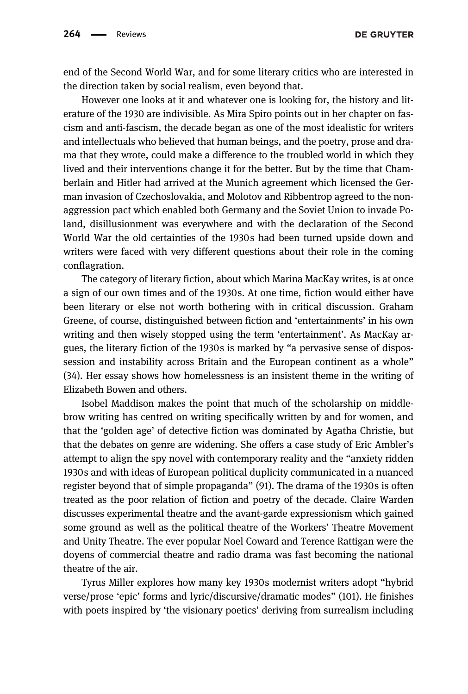**DE GRUYTER** 

end of the Second World War, and for some literary critics who are interested in the direction taken by social realism, even beyond that.

However one looks at it and whatever one is looking for, the history and literature of the 1930 are indivisible. As Mira Spiro points out in her chapter on fascism and anti-fascism, the decade began as one of the most idealistic for writers and intellectuals who believed that human beings, and the poetry, prose and drama that they wrote, could make a difference to the troubled world in which they lived and their interventions change it for the better. But by the time that Chamberlain and Hitler had arrived at the Munich agreement which licensed the German invasion of Czechoslovakia, and Molotov and Ribbentrop agreed to the nonaggression pact which enabled both Germany and the Soviet Union to invade Poland, disillusionment was everywhere and with the declaration of the Second World War the old certainties of the 1930s had been turned upside down and writers were faced with very different questions about their role in the coming conflagration.

The category of literary fiction, about which Marina MacKay writes, is at once a sign of our own times and of the 1930s. At one time, fiction would either have been literary or else not worth bothering with in critical discussion. Graham Greene, of course, distinguished between fiction and 'entertainments' in his own writing and then wisely stopped using the term 'entertainment'. As MacKay argues, the literary fiction of the 1930s is marked by "a pervasive sense of dispossession and instability across Britain and the European continent as a whole" (34). Her essay shows how homelessness is an insistent theme in the writing of Elizabeth Bowen and others.

Isobel Maddison makes the point that much of the scholarship on middlebrow writing has centred on writing specifically written by and for women, and that the 'golden age' of detective fiction was dominated by Agatha Christie, but that the debates on genre are widening. She offers a case study of Eric Ambler's attempt to align the spy novel with contemporary reality and the "anxiety ridden 1930s and with ideas of European political duplicity communicated in a nuanced register beyond that of simple propaganda" (91). The drama of the 1930s is often treated as the poor relation of fiction and poetry of the decade. Claire Warden discusses experimental theatre and the avant-garde expressionism which gained some ground as well as the political theatre of the Workers' Theatre Movement and Unity Theatre. The ever popular Noel Coward and Terence Rattigan were the doyens of commercial theatre and radio drama was fast becoming the national theatre of the air.

Tyrus Miller explores how many key 1930s modernist writers adopt "hybrid verse/prose 'epic' forms and lyric/discursive/dramatic modes" (101). He finishes with poets inspired by 'the visionary poetics' deriving from surrealism including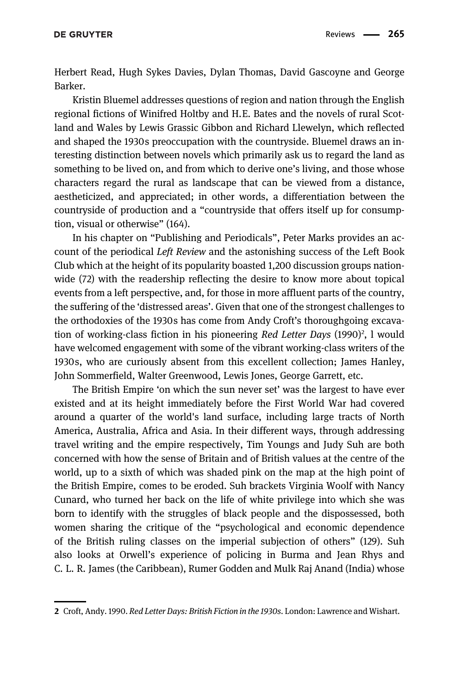Herbert Read, Hugh Sykes Davies, Dylan Thomas, David Gascoyne and George Barker.

Kristin Bluemel addresses questions of region and nation through the English regional fictions of Winifred Holtby and H.E. Bates and the novels of rural Scotland and Wales by Lewis Grassic Gibbon and Richard Llewelyn, which reflected and shaped the 1930s preoccupation with the countryside. Bluemel draws an interesting distinction between novels which primarily ask us to regard the land as something to be lived on, and from which to derive one's living, and those whose characters regard the rural as landscape that can be viewed from a distance, aestheticized, and appreciated; in other words, a differentiation between the countryside of production and a "countryside that offers itself up for consumption, visual or otherwise" (164).

In his chapter on "Publishing and Periodicals", Peter Marks provides an account of the periodical Left Review and the astonishing success of the Left Book Club which at the height of its popularity boasted 1,200 discussion groups nationwide (72) with the readership reflecting the desire to know more about topical events from a left perspective, and, for those in more affluent parts of the country, the suffering of the 'distressed areas'. Given that one of the strongest challenges to the orthodoxies of the 1930s has come from Andy Croft's thoroughgoing excavation of working-class fiction in his pioneering Red Letter Days (1990)<sup>2</sup>, l would have welcomed engagement with some of the vibrant working-class writers of the 1930s, who are curiously absent from this excellent collection; James Hanley, John Sommerfield, Walter Greenwood, Lewis Jones, George Garrett, etc.

The British Empire 'on which the sun never set' was the largest to have ever existed and at its height immediately before the First World War had covered around a quarter of the world's land surface, including large tracts of North America, Australia, Africa and Asia. In their different ways, through addressing travel writing and the empire respectively, Tim Youngs and Judy Suh are both concerned with how the sense of Britain and of British values at the centre of the world, up to a sixth of which was shaded pink on the map at the high point of the British Empire, comes to be eroded. Suh brackets Virginia Woolf with Nancy Cunard, who turned her back on the life of white privilege into which she was born to identify with the struggles of black people and the dispossessed, both women sharing the critique of the "psychological and economic dependence of the British ruling classes on the imperial subjection of others" (129). Suh also looks at Orwell's experience of policing in Burma and Jean Rhys and C. L. R. James (the Caribbean), Rumer Godden and Mulk Raj Anand (India) whose

<sup>2</sup> Croft, Andy. 1990. Red Letter Days: British Fiction in the 1930s. London: Lawrence and Wishart.